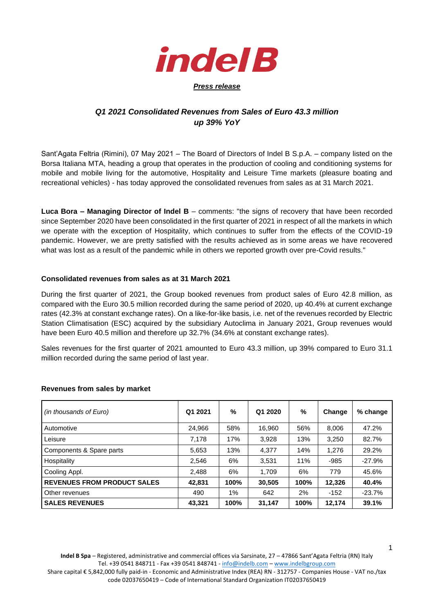

## *Q1 2021 Consolidated Revenues from Sales of Euro 43.3 million up 39% YoY*

Sant'Agata Feltria (Rimini), 07 May 2021 – The Board of Directors of Indel B S.p.A. – company listed on the Borsa Italiana MTA, heading a group that operates in the production of cooling and conditioning systems for mobile and mobile living for the automotive, Hospitality and Leisure Time markets (pleasure boating and recreational vehicles) - has today approved the consolidated revenues from sales as at 31 March 2021.

**Luca Bora – Managing Director of Indel B** – comments: "the signs of recovery that have been recorded since September 2020 have been consolidated in the first quarter of 2021 in respect of all the markets in which we operate with the exception of Hospitality, which continues to suffer from the effects of the COVID-19 pandemic. However, we are pretty satisfied with the results achieved as in some areas we have recovered what was lost as a result of the pandemic while in others we reported growth over pre-Covid results."

## **Consolidated revenues from sales as at 31 March 2021**

During the first quarter of 2021, the Group booked revenues from product sales of Euro 42.8 million, as compared with the Euro 30.5 million recorded during the same period of 2020, up 40.4% at current exchange rates (42.3% at constant exchange rates). On a like-for-like basis, i.e. net of the revenues recorded by Electric Station Climatisation (ESC) acquired by the subsidiary Autoclima in January 2021, Group revenues would have been Euro 40.5 million and therefore up 32.7% (34.6% at constant exchange rates).

Sales revenues for the first quarter of 2021 amounted to Euro 43.3 million, up 39% compared to Euro 31.1 million recorded during the same period of last year.

| (in thousands of Euro)             | Q1 2021 | %    | Q1 2020 | $\%$ | Change | % change |
|------------------------------------|---------|------|---------|------|--------|----------|
| Automotive                         | 24,966  | 58%  | 16,960  | 56%  | 8,006  | 47.2%    |
| Leisure                            | 7,178   | 17%  | 3,928   | 13%  | 3,250  | 82.7%    |
| Components & Spare parts           | 5,653   | 13%  | 4,377   | 14%  | 1,276  | 29.2%    |
| Hospitality                        | 2,546   | 6%   | 3,531   | 11%  | $-985$ | $-27.9%$ |
| Cooling Appl.                      | 2,488   | 6%   | 1.709   | 6%   | 779    | 45.6%    |
| <b>REVENUES FROM PRODUCT SALES</b> | 42,831  | 100% | 30,505  | 100% | 12,326 | 40.4%    |
| Other revenues                     | 490     | 1%   | 642     | 2%   | $-152$ | $-23.7%$ |
| <b>SALES REVENUES</b>              | 43,321  | 100% | 31,147  | 100% | 12,174 | 39.1%    |

## **Revenues from sales by market**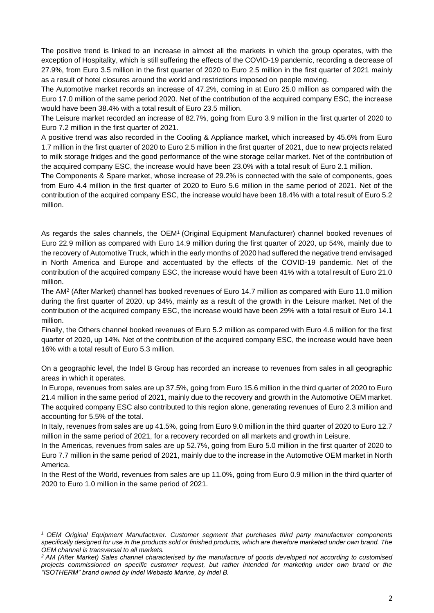The positive trend is linked to an increase in almost all the markets in which the group operates, with the exception of Hospitality, which is still suffering the effects of the COVID-19 pandemic, recording a decrease of 27.9%, from Euro 3.5 million in the first quarter of 2020 to Euro 2.5 million in the first quarter of 2021 mainly as a result of hotel closures around the world and restrictions imposed on people moving.

The Automotive market records an increase of 47.2%, coming in at Euro 25.0 million as compared with the Euro 17.0 million of the same period 2020. Net of the contribution of the acquired company ESC, the increase would have been 38.4% with a total result of Euro 23.5 million.

The Leisure market recorded an increase of 82.7%, going from Euro 3.9 million in the first quarter of 2020 to Euro 7.2 million in the first quarter of 2021.

A positive trend was also recorded in the Cooling & Appliance market, which increased by 45.6% from Euro 1.7 million in the first quarter of 2020 to Euro 2.5 million in the first quarter of 2021, due to new projects related to milk storage fridges and the good performance of the wine storage cellar market. Net of the contribution of the acquired company ESC, the increase would have been 23.0% with a total result of Euro 2.1 million.

The Components & Spare market, whose increase of 29.2% is connected with the sale of components, goes from Euro 4.4 million in the first quarter of 2020 to Euro 5.6 million in the same period of 2021. Net of the contribution of the acquired company ESC, the increase would have been 18.4% with a total result of Euro 5.2 million.

As regards the sales channels, the OEM<sup>1</sup> (Original Equipment Manufacturer) channel booked revenues of Euro 22.9 million as compared with Euro 14.9 million during the first quarter of 2020, up 54%, mainly due to the recovery of Automotive Truck, which in the early months of 2020 had suffered the negative trend envisaged in North America and Europe and accentuated by the effects of the COVID-19 pandemic. Net of the contribution of the acquired company ESC, the increase would have been 41% with a total result of Euro 21.0 million.

The AM<sup>2</sup> (After Market) channel has booked revenues of Euro 14.7 million as compared with Euro 11.0 million during the first quarter of 2020, up 34%, mainly as a result of the growth in the Leisure market. Net of the contribution of the acquired company ESC, the increase would have been 29% with a total result of Euro 14.1 million.

Finally, the Others channel booked revenues of Euro 5.2 million as compared with Euro 4.6 million for the first quarter of 2020, up 14%. Net of the contribution of the acquired company ESC, the increase would have been 16% with a total result of Euro 5.3 million.

On a geographic level, the Indel B Group has recorded an increase to revenues from sales in all geographic areas in which it operates.

In Europe, revenues from sales are up 37.5%, going from Euro 15.6 million in the third quarter of 2020 to Euro 21.4 million in the same period of 2021, mainly due to the recovery and growth in the Automotive OEM market. The acquired company ESC also contributed to this region alone, generating revenues of Euro 2.3 million and accounting for 5.5% of the total.

In Italy, revenues from sales are up 41.5%, going from Euro 9.0 million in the third quarter of 2020 to Euro 12.7 million in the same period of 2021, for a recovery recorded on all markets and growth in Leisure.

In the Americas, revenues from sales are up 52.7%, going from Euro 5.0 million in the first quarter of 2020 to Euro 7.7 million in the same period of 2021, mainly due to the increase in the Automotive OEM market in North America.

In the Rest of the World, revenues from sales are up 11.0%, going from Euro 0.9 million in the third quarter of 2020 to Euro 1.0 million in the same period of 2021.

*<sup>1</sup> OEM Original Equipment Manufacturer. Customer segment that purchases third party manufacturer components specifically designed for use in the products sold or finished products, which are therefore marketed under own brand. The OEM channel is transversal to all markets.* 

*<sup>2</sup> AM (After Market) Sales channel characterised by the manufacture of goods developed not according to customised projects commissioned on specific customer request, but rather intended for marketing under own brand or the "ISOTHERM" brand owned by Indel Webasto Marine, by Indel B.*